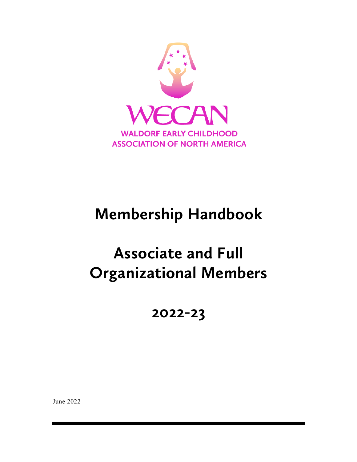

# **Membership Handbook**

# **Associate and Full Organizational Members**

**2022-23**

June 2022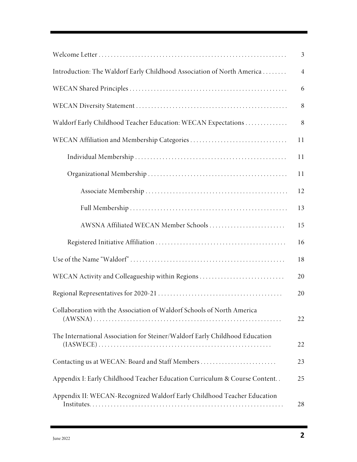|                                                                              | $\mathfrak{Z}$ |
|------------------------------------------------------------------------------|----------------|
| Introduction: The Waldorf Early Childhood Association of North America       | $\overline{4}$ |
|                                                                              | 6              |
|                                                                              | 8              |
| Waldorf Early Childhood Teacher Education: WECAN Expectations                | 8              |
|                                                                              | 11             |
|                                                                              | 11             |
|                                                                              | 11             |
|                                                                              | 12             |
|                                                                              | 13             |
| AWSNA Affiliated WECAN Member Schools                                        | 15             |
|                                                                              | 16             |
|                                                                              | 18             |
| WECAN Activity and Colleagueship within Regions                              | 20             |
|                                                                              | 20             |
| Collaboration with the Association of Waldorf Schools of North America       | 22             |
| The International Association for Steiner/Waldorf Early Childhood Education  | 22             |
|                                                                              | 23             |
| Appendix I: Early Childhood Teacher Education Curriculum & Course Content. . | 25             |
| Appendix II: WECAN-Recognized Waldorf Early Childhood Teacher Education      | 28             |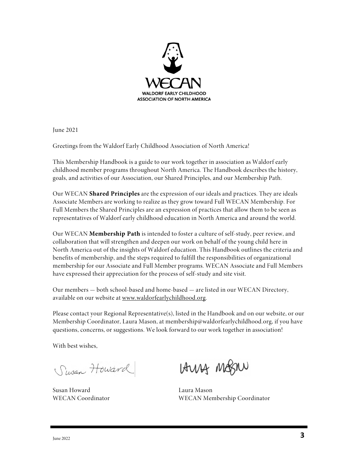

June 2021

Greetings from the Waldorf Early Childhood Association of North America!

This Membership Handbook is a guide to our work together in association as Waldorf early childhood member programs throughout North America. The Handbook describes the history, goals, and activities of our Association, our Shared Principles, and our Membership Path.

Our WECAN **Shared Principles** are the expression of our ideals and practices. They are ideals Associate Members are working to realize as they grow toward Full WECAN Membership. For Full Members the Shared Principles are an expression of practices that allow them to be seen as representatives of Waldorf early childhood education in North America and around the world.

Our WECAN **Membership Path** is intended to foster a culture of self-study, peer review, and collaboration that will strengthen and deepen our work on behalf of the young child here in North America out of the insights of Waldorf education. This Handbook outlines the criteria and benefits of membership, and the steps required to fulfill the responsibilities of organizational membership for our Associate and Full Member programs. WECAN Associate and Full Members have expressed their appreciation for the process of self-study and site visit.

Our members — both school-based and home-based — are listed in our WECAN Directory, available on our website at www.waldorfearlychildhood.org.

Please contact your Regional Representative(s), listed in the Handbook and on our website, or our Membership Coordinator, Laura Mason, at membership@waldorfearlychildhood.org, if you have questions, concerns, or suggestions. We look forward to our work together in association!

With best wishes,

Susan Howard

Susan Howard Laura Mason

LAUNA MOSILU

WECAN Coordinator WECAN Membership Coordinator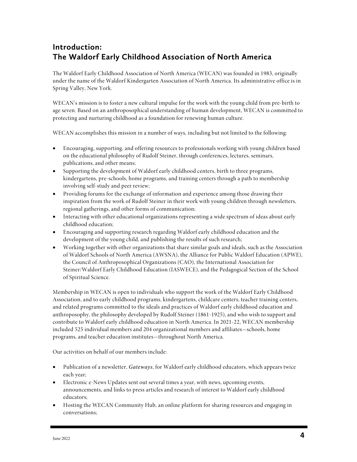# **Introduction: The Waldorf Early Childhood Association of North America**

The Waldorf Early Childhood Association of North America (WECAN) was founded in 1983, originally under the name of the Waldorf Kindergarten Association of North America. Its administrative office is in Spring Valley, New York.

WECAN's mission is to foster a new cultural impulse for the work with the young child from pre-birth to age seven. Based on an anthroposophical understanding of human development, WECAN is committed to protecting and nurturing childhood as a foundation for renewing human culture.

WECAN accomplishes this mission in a number of ways, including but not limited to the following:

- Encouraging, supporting, and offering resources to professionals working with young children based on the educational philosophy of Rudolf Steiner, through conferences, lectures, seminars, publications, and other means;
- Supporting the development of Waldorf early childhood centers, birth to three programs, kindergartens, pre-schools, home programs, and training centers through a path to membership involving self-study and peer review;
- Providing forums for the exchange of information and experience among those drawing their inspiration from the work of Rudolf Steiner in their work with young children through newsletters, regional gatherings, and other forms of communication;
- Interacting with other educational organizations representing a wide spectrum of ideas about early childhood education;
- Encouraging and supporting research regarding Waldorf early childhood education and the development of the young child, and publishing the results of such research;
- Working together with other organizations that share similar goals and ideals, such as the Association of Waldorf Schools of North America (AWSNA), the Alliance for Public Waldorf Education (APWE), the Council of Anthroposophical Organizations (CAO), the International Association for Steiner/Waldorf Early Childhood Education (IASWECE), and the Pedagogical Section of the School of Spiritual Science.

Membership in WECAN is open to individuals who support the work of the Waldorf Early Childhood Association, and to early childhood programs, kindergartens, childcare centers, teacher training centers, and related programs committed to the ideals and practices of Waldorf early childhood education and anthroposophy, the philosophy developed by Rudolf Steiner (1861-1925), and who wish to support and contribute to Waldorf early childhood education in North America. In 2021-22, WECAN membership included 525 individual members and 204 organizational members and affiliates—schools, home programs, and teacher education institutes—throughout North America.

Our activities on behalf of our members include:

- Publication of a newsletter, *Gateways*, for Waldorf early childhood educators, which appears twice each year;
- Electronic e-News Updates sent out several times a year, with news, upcoming events, announcements, and links to press articles and research of interest to Waldorf early childhood educators;
- Hosting the WECAN Community Hub, an online platform for sharing resources and engaging in conversations;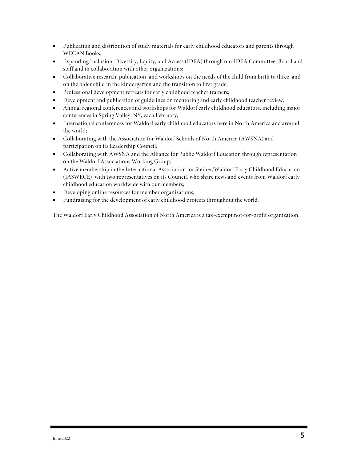- Publication and distribution of study materials for early childhood educators and parents through WECAN Books;
- Expanding Inclusion, Diversity, Equity, and Access (IDEA) through our IDEA Committee, Board and staff and in collaboration with other organizations;
- Collaborative research, publication, and workshops on the needs of the child from birth to three, and on the older child in the kindergarten and the transition to first grade;
- Professional development retreats for early childhood teacher trainers;
- Development and publication of guidelines on mentoring and early childhood teacher review;
- Annual regional conferences and workshops for Waldorf early childhood educators, including major conferences in Spring Valley, NY, each February;
- International conferences for Waldorf early childhood educators here in North America and around the world;
- Collaborating with the Association for Waldorf Schools of North America (AWSNA) and participation on its Leadership Council;
- Collaborating with AWSNA and the Alliance for Public Waldorf Education through representation on the Waldorf Associations Working Group;
- Active membership in the International Association for Steiner/Waldorf Early Childhood Education (IASWECE), with two representatives on its Council, who share news and events from Waldorf early childhood education worldwide with our members;
- Developing online resources for member organizations;
- Fundraising for the development of early childhood projects throughout the world.

The Waldorf Early Childhood Association of North America is a tax-exempt not-for-profit organization.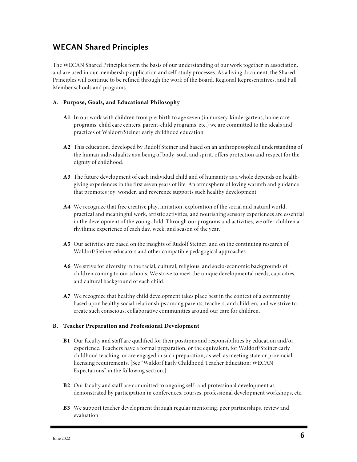# **WECAN Shared Principles**

The WECAN Shared Principles form the basis of our understanding of our work together in association, and are used in our membership application and self-study processes. As a living document, the Shared Principles will continue to be refined through the work of the Board, Regional Representatives, and Full Member schools and programs.

#### **A. Purpose, Goals, and Educational Philosophy**

- **A1** In our work with children from pre-birth to age seven (in nursery-kindergartens, home care programs, child care centers, parent-child programs, etc.) we are committed to the ideals and practices of Waldorf/Steiner early childhood education.
- **A2** This education, developed by Rudolf Steiner and based on an anthroposophical understanding of the human individuality as a being of body, soul, and spirit, offers protection and respect for the dignity of childhood.
- **A3** The future development of each individual child and of humanity as a whole depends on healthgiving experiences in the first seven years of life. An atmosphere of loving warmth and guidance that promotes joy, wonder, and reverence supports such healthy development.
- **A4** We recognize that free creative play, imitation, exploration of the social and natural world, practical and meaningful work, artistic activities, and nourishing sensory experiences are essential in the development of the young child. Through our programs and activities, we offer children a rhythmic experience of each day, week, and season of the year.
- **A5** Our activities are based on the insights of Rudolf Steiner, and on the continuing research of Waldorf/Steiner educators and other compatible pedagogical approaches.
- **A6** We strive for diversity in the racial, cultural, religious, and socio-economic backgrounds of children coming to our schools. We strive to meet the unique developmental needs, capacities, and cultural background of each child.
- **A7** We recognize that healthy child development takes place best in the context of a community based upon healthy social relationships among parents, teachers, and children, and we strive to create such conscious, collaborative communities around our care for children.

#### **B. Teacher Preparation and Professional Development**

- **B1** Our faculty and staff are qualified for their positions and responsibilities by education and/or experience. Teachers have a formal preparation, or the equivalent, for Waldorf/Steiner early childhood teaching, or are engaged in such preparation, as well as meeting state or provincial licensing requirements. [See "Waldorf Early Childhood Teacher Education: WECAN Expectations" in the following section.]
- **B2** Our faculty and staff are committed to ongoing self- and professional development as demonstrated by participation in conferences, courses, professional development workshops, etc.
- **B3** We support teacher development through regular mentoring, peer partnerships, review and evaluation.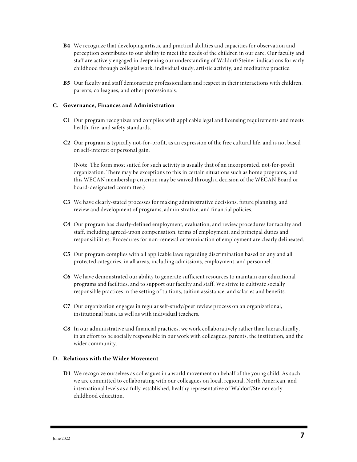- **B4** We recognize that developing artistic and practical abilities and capacities for observation and perception contributes to our ability to meet the needs of the children in our care. Our faculty and staff are actively engaged in deepening our understanding of Waldorf/Steiner indications for early childhood through collegial work, individual study, artistic activity, and meditative practice.
- **B5** Our faculty and staff demonstrate professionalism and respect in their interactions with children, parents, colleagues, and other professionals.

#### **C. Governance, Finances and Administration**

- **C1** Our program recognizes and complies with applicable legal and licensing requirements and meets health, fire, and safety standards.
- **C2** Our program is typically not-for-profit, as an expression of the free cultural life, and is not based on self-interest or personal gain.

(Note: The form most suited for such activity is usually that of an incorporated, not-for-profit organization. There may be exceptions to this in certain situations such as home programs, and this WECAN membership criterion may be waived through a decision of the WECAN Board or board-designated committee.)

- **C3** We have clearly-stated processes for making administrative decisions, future planning, and review and development of programs, administrative, and financial policies.
- **C4** Our program has clearly-defined employment, evaluation, and review procedures for faculty and staff, including agreed-upon compensation, terms of employment, and principal duties and responsibilities. Procedures for non-renewal or termination of employment are clearly delineated.
- **C5** Our program complies with all applicable laws regarding discrimination based on any and all protected categories, in all areas, including admissions, employment, and personnel.
- **C6** We have demonstrated our ability to generate sufficient resources to maintain our educational programs and facilities, and to support our faculty and staff. We strive to cultivate socially responsible practices in the setting of tuitions, tuition assistance, and salaries and benefits.
- **C7** Our organization engages in regular self-study/peer review process on an organizational, institutional basis, as well as with individual teachers.
- **C8** In our administrative and financial practices, we work collaboratively rather than hierarchically, in an effort to be socially responsible in our work with colleagues, parents, the institution, and the wider community.

#### **D. Relations with the Wider Movement**

**D1** We recognize ourselves as colleagues in a world movement on behalf of the young child. As such we are committed to collaborating with our colleagues on local, regional, North American, and international levels as a fully-established, healthy representative of Waldorf/Steiner early childhood education.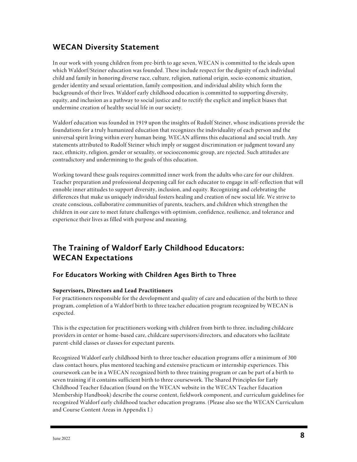# **WECAN Diversity Statement**

In our work with young children from pre-birth to age seven, WECAN is committed to the ideals upon which Waldorf/Steiner education was founded. These include respect for the dignity of each individual child and family in honoring diverse race, culture, religion, national origin, socio-economic situation, gender identity and sexual orientation, family composition, and individual ability which form the backgrounds of their lives. Waldorf early childhood education is committed to supporting diversity, equity, and inclusion as a pathway to social justice and to rectify the explicit and implicit biases that undermine creation of healthy social life in our society.

Waldorf education was founded in 1919 upon the insights of Rudolf Steiner, whose indications provide the foundations for a truly humanized education that recognizes the individuality of each person and the universal spirit living within every human being. WECAN affirms this educational and social truth. Any statements attributed to Rudolf Steiner which imply or suggest discrimination or judgment toward any race, ethnicity, religion, gender or sexuality, or socioeconomic group, are rejected. Such attitudes are contradictory and undermining to the goals of this education.

Working toward these goals requires committed inner work from the adults who care for our children. Teacher preparation and professional deepening call for each educator to engage in self-reflection that will ennoble inner attitudes to support diversity, inclusion, and equity. Recognizing and celebrating the differences that make us uniquely individual fosters healing and creation of new social life. We strive to create conscious, collaborative communities of parents, teachers, and children which strengthen the children in our care to meet future challenges with optimism, confidence, resilience, and tolerance and experience their lives as filled with purpose and meaning.

# **The Training of Waldorf Early Childhood Educators: WECAN Expectations**

### **For Educators Working with Children Ages Birth to Three**

#### **Supervisors, Directors and Lead Practitioners**

For practitioners responsible for the development and quality of care and education of the birth to three program, completion of a Waldorf birth to three teacher education program recognized by WECAN is expected.

This is the expectation for practitioners working with children from birth to three, including childcare providers in center or home-based care, childcare supervisors/directors, and educators who facilitate parent-child classes or classes for expectant parents.

Recognized Waldorf early childhood birth to three teacher education programs offer a minimum of 300 class contact hours, plus mentored teaching and extensive practicum or internship experiences. This coursework can be in a WECAN recognized birth to three training program or can be part of a birth to seven training if it contains sufficient birth to three coursework. The Shared Principles for Early Childhood Teacher Education (found on the WECAN website in the WECAN Teacher Education Membership Handbook) describe the course content, fieldwork component, and curriculum guidelines for recognized Waldorf early childhood teacher education programs. (Please also see the WECAN Curriculum and Course Content Areas in Appendix I.)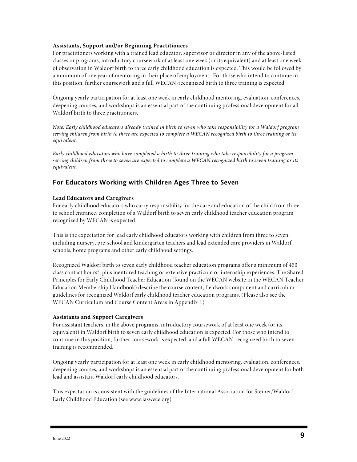#### **Assistants, Support and/or Beginning Practitioners**

For practitioners working with a trained lead educator, supervisor or director in any of the above-listed classes or programs, introductory coursework of at least one week (or its equivalent) and at least one week of observation in Waldorf birth to three early childhood education is expected. This would be followed by a minimum of one year of mentoring in their place of employment. For those who intend to continue in this position, further coursework and a full WECAN-recognized birth to three training is expected.

Ongoing yearly participation for at least one week in early childhood mentoring, evaluation, conferences, deepening courses, and workshops is an essential part of the continuing professional development for all Waldorf birth to three practitioners.

*Note: Early childhood educators already trained in birth to seven who take responsibility for a Waldorf program serving children from birth to three are expected to complete a WECAN recognized birth to three training or its equivalent.* 

*Early childhood educators who have completed a birth to three training who take responsibility for a program serving children from three to seven are expected to complete a WECAN recognized birth to seven training or its equivalent.* 

### **For Educators Working with Children Ages Three to Seven**

#### **Lead Educators and Caregivers**

For early childhood educators who carry responsibility for the care and education of the child from three to school entrance, completion of a Waldorf birth to seven early childhood teacher education program recognized by WECAN is expected.

This is the expectation for lead early childhood educators working with children from three to seven, including nursery, pre-school and kindergarten teachers and lead extended care providers in Waldorf schools, home programs and other early childhood settings.

Recognized Waldorf birth to seven early childhood teacher education programs offer a minimum of 450 class contact hours\*, plus mentored teaching or extensive practicum or internship experiences. The Shared Principles for Early Childhood Teacher Education (found on the WECAN website in the WECAN Teacher Education Membership Handbook) describe the course content, fieldwork component and curriculum guidelines for recognized Waldorf early childhood teacher education programs. (Please also see the WECAN Curriculum and Course Content Areas in Appendix I.)

#### **Assistants and Support Caregivers**

For assistant teachers, in the above programs, introductory coursework of at least one week (or its equivalent) in Waldorf birth to seven early childhood education is expected. For those who intend to continue in this position, further coursework is expected, and a full WECAN-recognized birth to seven training is recommended.

Ongoing yearly participation for at least one week in early childhood mentoring, evaluation, conferences, deepening courses, and workshops is an essential part of the continuing professional development for both lead and assistant Waldorf early childhood educators.

This expectation is consistent with the guidelines of the International Association for Steiner/Waldorf Early Childhood Education (see www.iaswece.org).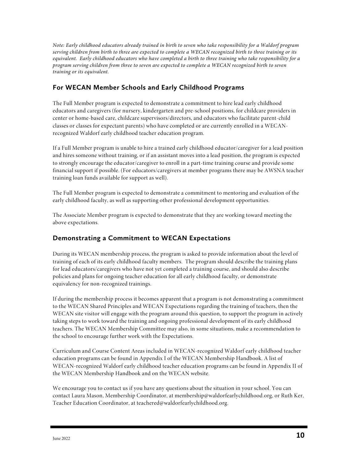*Note: Early childhood educators already trained in birth to seven who take responsibility for a Waldorf program serving children from birth to three are expected to complete a WECAN recognized birth to three training or its equivalent. Early childhood educators who have completed a birth to three training who take responsibility for a program serving children from three to seven are expected to complete a WECAN recognized birth to seven training or its equivalent.*

## **For WECAN Member Schools and Early Childhood Programs**

The Full Member program is expected to demonstrate a commitment to hire lead early childhood educators and caregivers (for nursery, kindergarten and pre-school positions, for childcare providers in center or home-based care, childcare supervisors/directors, and educators who facilitate parent-child classes or classes for expectant parents) who have completed or are currently enrolled in a WECANrecognized Waldorf early childhood teacher education program.

If a Full Member program is unable to hire a trained early childhood educator/caregiver for a lead position and hires someone without training, or if an assistant moves into a lead position, the program is expected to strongly encourage the educator/caregiver to enroll in a part-time training course and provide some financial support if possible. (For educators/caregivers at member programs there may be AWSNA teacher training loan funds available for support as well).

The Full Member program is expected to demonstrate a commitment to mentoring and evaluation of the early childhood faculty, as well as supporting other professional development opportunities.

The Associate Member program is expected to demonstrate that they are working toward meeting the above expectations.

### **Demonstrating a Commitment to WECAN Expectations**

During its WECAN membership process, the program is asked to provide information about the level of training of each of its early childhood faculty members. The program should describe the training plans for lead educators/caregivers who have not yet completed a training course, and should also describe policies and plans for ongoing teacher education for all early childhood faculty, or demonstrate equivalency for non-recognized trainings.

If during the membership process it becomes apparent that a program is not demonstrating a commitment to the WECAN Shared Principles and WECAN Expectations regarding the training of teachers, then the WECAN site visitor will engage with the program around this question, to support the program in actively taking steps to work toward the training and ongoing professional development of its early childhood teachers. The WECAN Membership Committee may also, in some situations, make a recommendation to the school to encourage further work with the Expectations.

Curriculum and Course Content Areas included in WECAN-recognized Waldorf early childhood teacher education programs can be found in Appendix I of the WECAN Membership Handbook. A list of WECAN-recognized Waldorf early childhood teacher education programs can be found in Appendix II of the WECAN Membership Handbook and on the WECAN website.

We encourage you to contact us if you have any questions about the situation in your school. You can contact Laura Mason, Membership Coordinator, at membership@waldorfearlychildhood.org, or Ruth Ker, Teacher Education Coordinator, at teachered@waldorfearlychildhood.org.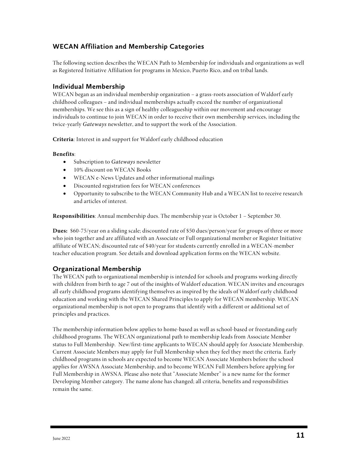## **WECAN Affiliation and Membership Categories**

The following section describes the WECAN Path to Membership for individuals and organizations as well as Registered Initiative Affiliation for programs in Mexico, Puerto Rico, and on tribal lands.

#### **Individual Membership**

WECAN began as an individual membership organization – a grass-roots association of Waldorf early childhood colleagues – and individual memberships actually exceed the number of organizational memberships. We see this as a sign of healthy colleagueship within our movement and encourage individuals to continue to join WECAN in order to receive their own membership services, including the twice-yearly *Gateways* newsletter, and to support the work of the Association.

**Criteria**: Interest in and support for Waldorf early childhood education

#### **Benefits**:

- Subscription to *Gateways* newsletter
- 10% discount on WECAN Books
- WECAN e-News Updates and other informational mailings
- Discounted registration fees for WECAN conferences
- Opportunity to subscribe to the WECAN Community Hub and a WECAN list to receive research and articles of interest.

**Responsibilities**: Annual membership dues. The membership year is October 1 – September 30.

**Dues:** \$60-75/year on a sliding scale; discounted rate of \$50 dues/person/year for groups of three or more who join together and are affiliated with an Associate or Full organizational member or Register Initiative affiliate of WECAN; discounted rate of \$40/year for students currently enrolled in a WECAN-member teacher education program. See details and download application forms on the WECAN website.

#### **Organizational Membership**

The WECAN path to organizational membership is intended for schools and programs working directly with children from birth to age 7 out of the insights of Waldorf education. WECAN invites and encourages all early childhood programs identifying themselves as inspired by the ideals of Waldorf early childhood education and working with the WECAN Shared Principles to apply for WECAN membership. WECAN organizational membership is not open to programs that identify with a different or additional set of principles and practices.

The membership information below applies to home-based as well as school-based or freestanding early childhood programs. The WECAN organizational path to membership leads from Associate Member status to Full Membership. New/first-time applicants to WECAN should apply for Associate Membership. Current Associate Members may apply for Full Membership when they feel they meet the criteria. Early childhood programs in schools are expected to become WECAN Associate Members before the school applies for AWSNA Associate Membership, and to become WECAN Full Members before applying for Full Membership in AWSNA. Please also note that "Associate Member" is a new name for the former Developing Member category. The name alone has changed; all criteria, benefits and responsibilities remain the same.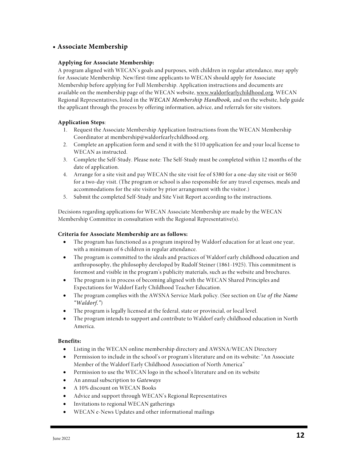#### **• Associate Membership**

#### **Applying for Associate Membership:**

A program aligned with WECAN's goals and purposes, with children in regular attendance, may apply for Associate Membership. New/first-time applicants to WECAN should apply for Associate Membership before applying for Full Membership. Application instructions and documents are available on the membership page of the WECAN website, www.waldorfearlychildhood.org. WECAN Regional Representatives, listed in the *WECAN Membership Handbook,* and on the website, help guide the applicant through the process by offering information, advice, and referrals for site visitors.

#### **Application Steps**:

- 1. Request the Associate Membership Application Instructions from the WECAN Membership Coordinator at membership@waldorfearlychildhood.org.
- 2. Complete an application form and send it with the \$110 application fee and your local license to WECAN as instructed.
- 3. Complete the Self-Study. Please note: The Self-Study must be completed within 12 months of the date of application.
- 4. Arrange for a site visit and pay WECAN the site visit fee of \$380 for a one-day site visit or \$650 for a two-day visit. (The program or school is also responsible for any travel expenses, meals and accommodations for the site visitor by prior arrangement with the visitor.)
- 5. Submit the completed Self-Study and Site Visit Report according to the instructions.

Decisions regarding applications for WECAN Associate Membership are made by the WECAN Membership Committee in consultation with the Regional Representative(s).

#### **Criteria for Associate Membership are as follows:**

- The program has functioned as a program inspired by Waldorf education for at least one year, with a minimum of 6 children in regular attendance.
- The program is committed to the ideals and practices of Waldorf early childhood education and anthroposophy, the philosophy developed by Rudolf Steiner (1861-1925). This commitment is foremost and visible in the program's publicity materials, such as the website and brochures.
- The program is in process of becoming aligned with the WECAN Shared Principles and Expectations for Waldorf Early Childhood Teacher Education.
- The program complies with the AWSNA Service Mark policy. (See section on *Use of the Name "Waldorf."*)
- The program is legally licensed at the federal, state or provincial, or local level.
- The program intends to support and contribute to Waldorf early childhood education in North America.

#### **Benefits:**

- Listing in the WECAN online membership directory and AWSNA/WECAN Directory
- Permission to include in the school's or program's literature and on its website: "An Associate Member of the Waldorf Early Childhood Association of North America"
- Permission to use the WECAN logo in the school's literature and on its website
- An annual subscription to *Gateways*
- A 10% discount on WECAN Books
- Advice and support through WECAN's Regional Representatives
- Invitations to regional WECAN gatherings
- WECAN e-News Updates and other informational mailings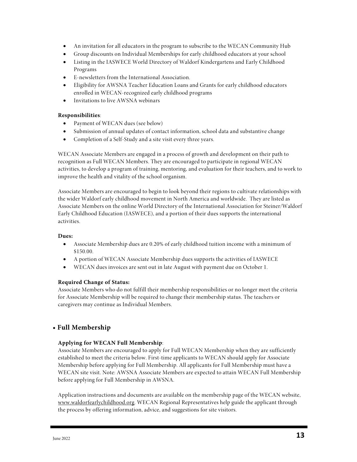- An invitation for all educators in the program to subscribe to the WECAN Community Hub
- Group discounts on Individual Memberships for early childhood educators at your school
- Listing in the IASWECE World Directory of Waldorf Kindergartens and Early Childhood Programs
- E-newsletters from the International Association.
- Eligibility for AWSNA Teacher Education Loans and Grants for early childhood educators enrolled in WECAN-recognized early childhood programs
- Invitations to live AWSNA webinars

#### **Responsibilities**:

- Payment of WECAN dues (see below)
- Submission of annual updates of contact information, school data and substantive change
- Completion of a Self-Study and a site visit every three years.

WECAN Associate Members are engaged in a process of growth and development on their path to recognition as Full WECAN Members. They are encouraged to participate in regional WECAN activities, to develop a program of training, mentoring, and evaluation for their teachers, and to work to improve the health and vitality of the school organism.

Associate Members are encouraged to begin to look beyond their regions to cultivate relationships with the wider Waldorf early childhood movement in North America and worldwide. They are listed as Associate Members on the online World Directory of the International Association for Steiner/Waldorf Early Childhood Education (IASWECE), and a portion of their dues supports the international activities.

#### **Dues:**

- Associate Membership dues are 0.20% of early childhood tuition income with a minimum of \$150.00.
- A portion of WECAN Associate Membership dues supports the activities of IASWECE
- WECAN dues invoices are sent out in late August with payment due on October 1.

#### **Required Change of Status:**

Associate Members who do not fulfill their membership responsibilities or no longer meet the criteria for Associate Membership will be required to change their membership status. The teachers or caregivers may continue as Individual Members.

#### **• Full Membership**

#### **Applying for WECAN Full Membership**:

Associate Members are encouraged to apply for Full WECAN Membership when they are sufficiently established to meet the criteria below. First-time applicants to WECAN should apply for Associate Membership before applying for Full Membership. All applicants for Full Membership must have a WECAN site visit. Note: AWSNA Associate Members are expected to attain WECAN Full Membership before applying for Full Membership in AWSNA.

Application instructions and documents are available on the membership page of the WECAN website, www.waldorfearlychildhood.org. WECAN Regional Representatives help guide the applicant through the process by offering information, advice, and suggestions for site visitors.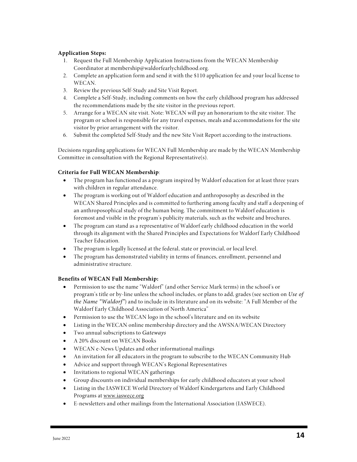#### **Application Steps:**

- 1. Request the Full Membership Application Instructions from the WECAN Membership Coordinator at membership@waldorfearlychildhood.org.
- 2. Complete an application form and send it with the \$110 application fee and your local license to WECAN.
- 3. Review the previous Self-Study and Site Visit Report.
- 4. Complete a Self-Study, including comments on how the early childhood program has addressed the recommendations made by the site visitor in the previous report.
- 5. Arrange for a WECAN site visit. Note: WECAN will pay an honorarium to the site visitor. The program or school is responsible for any travel expenses, meals and accommodations for the site visitor by prior arrangement with the visitor.
- 6. Submit the completed Self-Study and the new Site Visit Report according to the instructions.

Decisions regarding applications for WECAN Full Membership are made by the WECAN Membership Committee in consultation with the Regional Representative(s).

#### **Criteria for Full WECAN Membership**:

- The program has functioned as a program inspired by Waldorf education for at least three years with children in regular attendance.
- The program is working out of Waldorf education and anthroposophy as described in the WECAN Shared Principles and is committed to furthering among faculty and staff a deepening of an anthroposophical study of the human being. The commitment to Waldorf education is foremost and visible in the program's publicity materials, such as the website and brochures.
- The program can stand as a representative of Waldorf early childhood education in the world through its alignment with the Shared Principles and Expectations for Waldorf Early Childhood Teacher Education.
- The program is legally licensed at the federal, state or provincial, or local level.
- The program has demonstrated viability in terms of finances, enrollment, personnel and administrative structure.

#### **Benefits of WECAN Full Membership:**

- Permission to use the name "Waldorf" (and other Service Mark terms) in the school's or program's title or by-line unless the school includes, or plans to add, grades (see section on *Use of the Name "Waldorf"*) and to include in its literature and on its website: "A Full Member of the Waldorf Early Childhood Association of North America"
- Permission to use the WECAN logo in the school's literature and on its website
- Listing in the WECAN online membership directory and the AWSNA/WECAN Directory
- Two annual subscriptions to *Gateways*
- A 20% discount on WECAN Books
- WECAN e-News Updates and other informational mailings
- An invitation for all educators in the program to subscribe to the WECAN Community Hub
- Advice and support through WECAN's Regional Representatives
- Invitations to regional WECAN gatherings
- Group discounts on individual memberships for early childhood educators at your school
- Listing in the IASWECE World Directory of Waldorf Kindergartens and Early Childhood Programs at www.iaswece.org
- E-newsletters and other mailings from the International Association (IASWECE).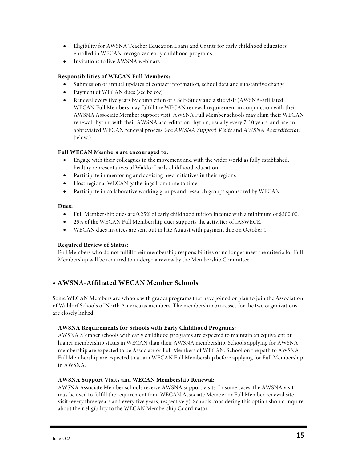- Eligibility for AWSNA Teacher Education Loans and Grants for early childhood educators enrolled in WECAN-recognized early childhood programs
- Invitations to live AWSNA webinars

#### **Responsibilities of WECAN Full Members:**

- Submission of annual updates of contact information, school data and substantive change
- Payment of WECAN dues (see below)
- Renewal every five years by completion of a Self-Study and a site visit (AWSNA-affiliated WECAN Full Members may fulfill the WECAN renewal requirement in conjunction with their AWSNA Associate Member support visit. AWSNA Full Member schools may align their WECAN renewal rhythm with their AWSNA accreditation rhythm, usually every 7-10 years, and use an abbreviated WECAN renewal process. See *AWSNA Support Visits* and *AWSNA Accreditation* below.)

#### **Full WECAN Members are encouraged to:**

- Engage with their colleagues in the movement and with the wider world as fully established, healthy representatives of Waldorf early childhood education
- Participate in mentoring and advising new initiatives in their regions
- Host regional WECAN gatherings from time to time
- Participate in collaborative working groups and research groups sponsored by WECAN.

#### **Dues:**

- Full Membership dues are 0.25% of early childhood tuition income with a minimum of \$200.00.
- 25% of the WECAN Full Membership dues supports the activities of IASWECE.
- WECAN dues invoices are sent out in late August with payment due on October 1.

#### **Required Review of Status:**

Full Members who do not fulfill their membership responsibilities or no longer meet the criteria for Full Membership will be required to undergo a review by the Membership Committee.

#### **• AWSNA-Affiliated WECAN Member Schools**

Some WECAN Members are schools with grades programs that have joined or plan to join the Association of Waldorf Schools of North America as members. The membership processes for the two organizations are closely linked.

#### **AWSNA Requirements for Schools with Early Childhood Programs:**

AWSNA Member schools with early childhood programs are expected to maintain an equivalent or higher membership status in WECAN than their AWSNA membership. Schools applying for AWSNA membership are expected to be Associate or Full Members of WECAN. School on the path to AWSNA Full Membership are expected to attain WECAN Full Membership before applying for Full Membership in AWSNA.

#### **AWSNA Support Visits and WECAN Membership Renewal:**

AWSNA Associate Member schools receive AWSNA support visits. In some cases, the AWSNA visit may be used to fulfill the requirement for a WECAN Associate Member or Full Member renewal site visit (every three years and every five years, respectively). Schools considering this option should inquire about their eligibility to the WECAN Membership Coordinator.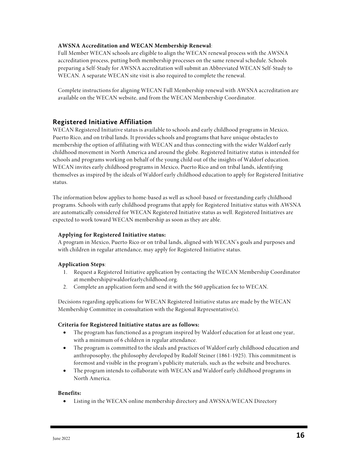#### **AWSNA Accreditation and WECAN Membership Renewal**:

Full Member WECAN schools are eligible to align the WECAN renewal process with the AWSNA accreditation process, putting both membership processes on the same renewal schedule. Schools preparing a Self-Study for AWSNA accreditation will submit an Abbreviated WECAN Self-Study to WECAN. A separate WECAN site visit is also required to complete the renewal.

Complete instructions for aligning WECAN Full Membership renewal with AWSNA accreditation are available on the WECAN website, and from the WECAN Membership Coordinator.

#### **Registered Initiative Affiliation**

WECAN Registered Initiative status is available to schools and early childhood programs in Mexico, Puerto Rico, and on tribal lands. It provides schools and programs that have unique obstacles to membership the option of affiliating with WECAN and thus connecting with the wider Waldorf early childhood movement in North America and around the globe. Registered Initiative status is intended for schools and programs working on behalf of the young child out of the insights of Waldorf education. WECAN invites early childhood programs in Mexico, Puerto Rico and on tribal lands, identifying themselves as inspired by the ideals of Waldorf early childhood education to apply for Registered Initiative status.

The information below applies to home-based as well as school-based or freestanding early childhood programs. Schools with early childhood programs that apply for Registered Initiative status with AWSNA are automatically considered for WECAN Registered Initiative status as well. Registered Initiatives are expected to work toward WECAN membership as soon as they are able.

#### **Applying for Registered Initiative status:**

A program in Mexico, Puerto Rico or on tribal lands, aligned with WECAN's goals and purposes and with children in regular attendance, may apply for Registered Initiative status.

#### **Application Steps**:

- 1. Request a Registered Initiative application by contacting the WECAN Membership Coordinator at membership@waldorfearlychildhood.org.
- 2. Complete an application form and send it with the \$60 application fee to WECAN.

Decisions regarding applications for WECAN Registered Initiative status are made by the WECAN Membership Committee in consultation with the Regional Representative(s).

#### **Criteria for Registered Initiative status are as follows:**

- The program has functioned as a program inspired by Waldorf education for at least one year, with a minimum of 6 children in regular attendance.
- The program is committed to the ideals and practices of Waldorf early childhood education and anthroposophy, the philosophy developed by Rudolf Steiner (1861-1925). This commitment is foremost and visible in the program's publicity materials, such as the website and brochures.
- The program intends to collaborate with WECAN and Waldorf early childhood programs in North America.

#### **Benefits:**

• Listing in the WECAN online membership directory and AWSNA/WECAN Directory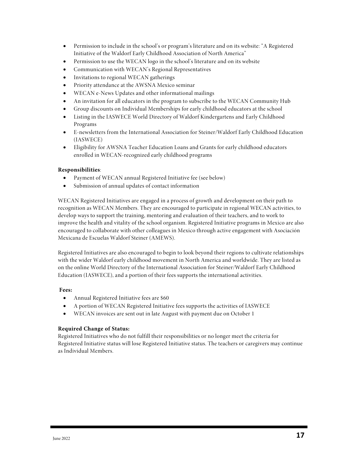- Permission to include in the school's or program's literature and on its website: "A Registered Initiative of the Waldorf Early Childhood Association of North America"
- Permission to use the WECAN logo in the school's literature and on its website
- Communication with WECAN's Regional Representatives
- Invitations to regional WECAN gatherings
- Priority attendance at the AWSNA Mexico seminar
- WECAN e-News Updates and other informational mailings
- An invitation for all educators in the program to subscribe to the WECAN Community Hub
- Group discounts on Individual Memberships for early childhood educators at the school
- Listing in the IASWECE World Directory of Waldorf Kindergartens and Early Childhood Programs
- E-newsletters from the International Association for Steiner/Waldorf Early Childhood Education (IASWECE)
- Eligibility for AWSNA Teacher Education Loans and Grants for early childhood educators enrolled in WECAN-recognized early childhood programs

#### **Responsibilities**:

- Payment of WECAN annual Registered Initiative fee (see below)
- Submission of annual updates of contact information

WECAN Registered Initiatives are engaged in a process of growth and development on their path to recognition as WECAN Members. They are encouraged to participate in regional WECAN activities, to develop ways to support the training, mentoring and evaluation of their teachers, and to work to improve the health and vitality of the school organism. Registered Initiative programs in Mexico are also encouraged to collaborate with other colleagues in Mexico through active engagement with Asociación Mexicana de Escuelas Waldorf Steiner (AMEWS).

Registered Initiatives are also encouraged to begin to look beyond their regions to cultivate relationships with the wider Waldorf early childhood movement in North America and worldwide. They are listed as on the online World Directory of the International Association for Steiner/Waldorf Early Childhood Education (IASWECE), and a portion of their fees supports the international activities.

#### **Fees:**

- Annual Registered Initiative fees are \$60
- A portion of WECAN Registered Initiative fees supports the activities of IASWECE
- WECAN invoices are sent out in late August with payment due on October 1

#### **Required Change of Status:**

Registered Initiatives who do not fulfill their responsibilities or no longer meet the criteria for Registered Initiative status will lose Registered Initiative status. The teachers or caregivers may continue as Individual Members.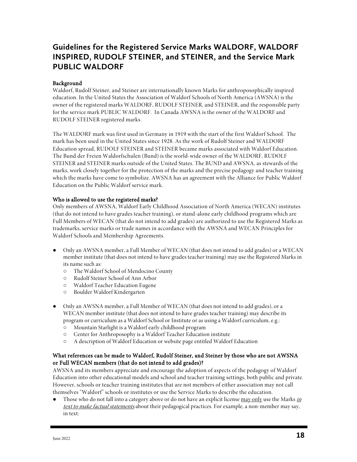# **Guidelines for the Registered Service Marks WALDORF, WALDORF INSPIRED, RUDOLF STEINER, and STEINER, and the Service Mark PUBLIC WALDORF**

#### Background

Waldorf, Rudolf Steiner, and Steiner are internationally known Marks for anthroposophically inspired education. In the United States the Association of Waldorf Schools of North America (AWSNA) is the owner of the registered marks WALDORF, RUDOLF STEINER, and STEINER, and the responsible party for the service mark PUBLIC WALDORF. In Canada AWSNA is the owner of the WALDORF and RUDOLF STEINER registered marks.

The WALDORF mark was first used in Germany in 1919 with the start of the first Waldorf School. The mark has been used in the United States since 1928. As the work of Rudolf Steiner and WALDORF Education spread, RUDOLF STEINER and STEINER became marks associated with Waldorf Education. The Bund der Freien Waldorfschulen (Bund) is the world-wide owner of the WALDORF, RUDOLF STEINER and STEINER marks outside of the United States. The BUND and AWSNA, as stewards of the marks, work closely together for the protection of the marks and the precise pedagogy and teacher training which the marks have come to symbolize. AWSNA has an agreement with the Alliance for Public Waldorf Education on the Public Waldorf service mark.

#### Who is allowed to use the registered marks?

Only members of AWSNA, Waldorf Early Childhood Association of North America (WECAN) institutes (that do not intend to have grades teacher training), or stand-alone early childhood programs which are Full Members of WECAN (that do not intend to add grades) are authorized to use the Registered Marks as trademarks, service marks or trade names in accordance with the AWSNA and WECAN Principles for Waldorf Schools and Membership Agreements.

- Only an AWSNA member, a Full Member of WECAN (that does not intend to add grades) or a WECAN member institute (that does not intend to have grades teacher training) may use the Registered Marks in its name such as:
	- The Waldorf School of Mendocino County
	- Rudolf Steiner School of Ann Arbor
	- Waldorf Teacher Education Eugene
	- Boulder Waldorf Kindergarten
- Only an AWSNA member, a Full Member of WECAN (that does not intend to add grades), or a WECAN member institute (that does not intend to have grades teacher training) may describe its program or curriculum as a Waldorf School or Institute or as using a Waldorf curriculum, e.g.:
	- Mountain Starlight is a Waldorf early childhood program
	- Center for Anthroposophy is a Waldorf Teacher Education institute
	- A description of Waldorf Education or website page entitled Waldorf Education

#### What references can be made to Waldorf, Rudolf Steiner, and Steiner by those who are not AWSNA or Full WECAN members (that do not intend to add grades)?

AWSNA and its members appreciate and encourage the adoption of aspects of the pedagogy of Waldorf Education into other educational models and school and teacher training settings, both public and private. However, schools or teacher training institutes that are not members of either association may not call themselves "Waldorf" schools or institutes or use the Service Marks to describe the education.

Those who do not fall into a category above or do not have an explicit license may only use the Marks in text to make factual statements about their pedagogical practices. For example, a non-member may say, in text: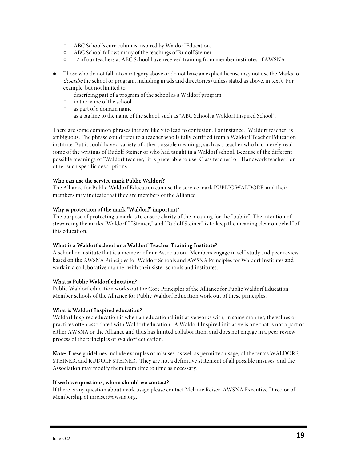- ABC School's curriculum is inspired by Waldorf Education.
- ABC School follows many of the teachings of Rudolf Steiner
- 12 of our teachers at ABC School have received training from member institutes of AWSNA
- Those who do not fall into a category above or do not have an explicit license may not use the Marks to describe the school or program, including in ads and directories (unless stated as above, in text). For example, but not limited to:
	- describing part of a program of the school as a Waldorf program
	- in the name of the school
	- as part of a domain name
	- as a tag line to the name of the school, such as "ABC School, a Waldorf Inspired School".

There are some common phrases that are likely to lead to confusion. For instance, "Waldorf teacher" is ambiguous. The phrase could refer to a teacher who is fully certified from a Waldorf Teacher Education institute. But it could have a variety of other possible meanings, such as a teacher who had merely read some of the writings of Rudolf Steiner or who had taught in a Waldorf school. Because of the different possible meanings of "Waldorf teacher," it is preferable to use "Class teacher" or "Handwork teacher," or other such specific descriptions.

#### Who can use the service mark Public Waldorf?

The Alliance for Public Waldorf Education can use the service mark PUBLIC WALDORF, and their members may indicate that they are members of the Alliance.

#### Why is protection of the mark "Waldorf" important?

The purpose of protecting a mark is to ensure clarity of the meaning for the "public". The intention of stewarding the marks "Waldorf," "Steiner," and "Rudolf Steiner" is to keep the meaning clear on behalf of this education.

#### What is a Waldorf school or a Waldorf Teacher Training Institute?

A school or institute that is a member of our Association. Members engage in self-study and peer review based on the AWSNA Principles for Waldorf Schools and AWSNA Principles for Waldorf Institutes and work in a collaborative manner with their sister schools and institutes.

#### What is Public Waldorf education?

Public Waldorf education works out the Core Principles of the Alliance for Public Waldorf Education. Member schools of the Alliance for Public Waldorf Education work out of these principles.

#### What is Waldorf Inspired education?

Waldorf Inspired education is when an educational initiative works with, in some manner, the values or practices often associated with Waldorf education. A Waldorf Inspired initiative is one that is not a part of either AWSNA or the Alliance and thus has limited collaboration, and does not engage in a peer review process of the principles of Waldorf education.

Note: These guidelines include examples of misuses, as well as permitted usage, of the terms WALDORF, STEINER, and RUDOLF STEINER. They are not a definitive statement of all possible misuses, and the Association may modify them from time to time as necessary.

#### If we have questions, whom should we contact?

If there is any question about mark usage please contact Melanie Reiser, AWSNA Executive Director of Membership at mreiser@awsna.org.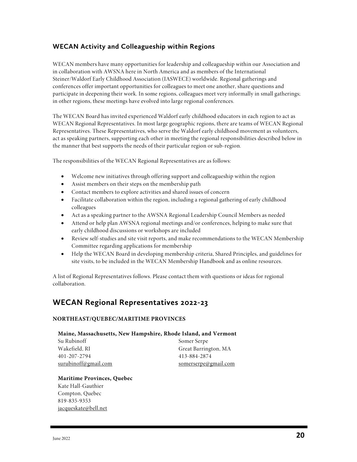### **WECAN Activity and Colleagueship within Regions**

WECAN members have many opportunities for leadership and colleagueship within our Association and in collaboration with AWSNA here in North America and as members of the International Steiner/Waldorf Early Childhood Association (IASWECE) worldwide. Regional gatherings and conferences offer important opportunities for colleagues to meet one another, share questions and participate in deepening their work. In some regions, colleagues meet very informally in small gatherings; in other regions, these meetings have evolved into large regional conferences.

The WECAN Board has invited experienced Waldorf early childhood educators in each region to act as WECAN Regional Representatives. In most large geographic regions, there are teams of WECAN Regional Representatives. These Representatives, who serve the Waldorf early childhood movement as volunteers, act as speaking partners, supporting each other in meeting the regional responsibilities described below in the manner that best supports the needs of their particular region or sub-region.

The responsibilities of the WECAN Regional Representatives are as follows:

- Welcome new initiatives through offering support and colleagueship within the region
- Assist members on their steps on the membership path
- Contact members to explore activities and shared issues of concern
- Facilitate collaboration within the region, including a regional gathering of early childhood colleagues
- Act as a speaking partner to the AWSNA Regional Leadership Council Members as needed
- Attend or help plan AWSNA regional meetings and/or conferences, helping to make sure that early childhood discussions or workshops are included
- Review self-studies and site visit reports, and make recommendations to the WECAN Membership Committee regarding applications for membership
- Help the WECAN Board in developing membership criteria, Shared Principles, and guidelines for site visits, to be included in the WECAN Membership Handbook and as online resources.

A list of Regional Representatives follows. Please contact them with questions or ideas for regional collaboration.

# **WECAN Regional Representatives 2022-23**

#### **NORTHEAST/QUEBEC/MARITIME PROVINCES**

#### **Maine, Massachusetts, New Hampshire, Rhode Island, and Vermont**

| Su Rubinoff          | Somer Serpe          |
|----------------------|----------------------|
| Wakefield, RI        | Great Barrington, MA |
| 401-207-2794         | 413-884-2874         |
| surubinoff@gmail.com | somerserpe@gmail.com |

#### **Maritime Provinces, Quebec**

Kate Hall-Gauthier Compton, Quebec 819-835-9353 jacqueskate@bell.net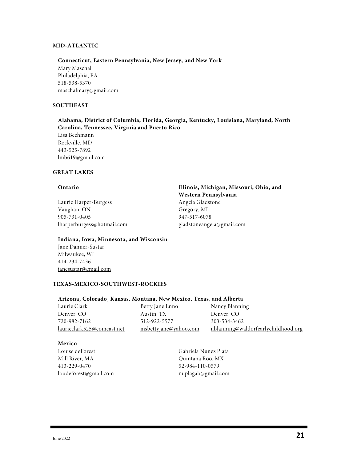#### **MID-ATLANTIC**

#### **Connecticut, Eastern Pennsylvania, New Jersey, and New York**

Mary Maschal Philadelphia, PA 518-538-5370 maschalmary@gmail.com

#### **SOUTHEAST**

**Alabama, District of Columbia, Florida, Georgia, Kentucky, Louisiana, Maryland, North Carolina, Tennessee, Virginia and Puerto Rico**

Lisa Bechmann Rockville, MD 443-525-7892 lmb619@gmail.com

#### **GREAT LAKES**

Laurie Harper-Burgess Angela Gladstone Vaughan, ON Gregory, MI 905-731-0405 947-517-6078 lharperburgess@hotmail.com gladstoneangela@gmail.com

**Ontario Illinois, Michigan, Missouri, Ohio, and Western Pennsylvania**

#### **Indiana, Iowa, Minnesota, and Wisconsin**

Jane Danner-Sustar Milwaukee, WI 414-234-7436 janesustar@gmail.com

#### **TEXAS-MEXICO-SOUTHWEST-ROCKIES**

#### **Arizona, Colorado, Kansas, Montana, New Mexico, Texas, and Alberta**

| Laurie Clark               | Betty Jane Enno       | Nancy Blanning                             |
|----------------------------|-----------------------|--------------------------------------------|
| Denver, CO                 | Austin, TX            | Denver, CO                                 |
| 720-982-7162               | 512-922-5577          | 303-534-3462                               |
| laurieclark525@comcast.net | msbettyjane@yahoo.com | <u>nblanning@waldorfearlychildhood.org</u> |

#### **Mexico**

Louise deForest Gabriela Nunez Plata Mill River, MA Quintana Roo, MX 413-229-0470 52-984-110-0579 loudeforest@gmail.com nuplagab@gmail.com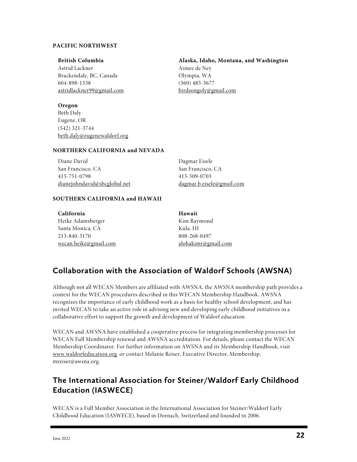#### **PACIFIC NORTHWEST**

#### **British Columbia Alaska, Idaho, Montana, and Washington**

Astrid Lackner Aimee de Ney Brackendale, BC, Canada Olympia, WA 604-898-1338 (360) 485-3677 astridlackner99@gmail.com birdsongoly@gmail.com

#### **Oregon**

Beth Daly Eugene, OR (542) 321-3744 beth.daly@eugenewaldorf.org

#### **NORTHERN CALIFORNIA and NEVADA**

| Diane David                         | Dagmar Eisele                    |
|-------------------------------------|----------------------------------|
| San Francisco, CA                   | San Francisco, CA                |
| 415-751-0798                        | 415-509-0703                     |
| <u>dianejohndavid@sbcglobal.net</u> | <u>dagmar.b.eisele@gmail.com</u> |

#### **SOUTHERN CALIFORNIA and HAWAII**

| California                   | Hawaii                     |
|------------------------------|----------------------------|
| Heike Adamsberger            | Kim Raymond                |
| Santa Monica, CA             | Kula. HI                   |
| 213-840-3170                 | 808-268-0497               |
| <u>wecan.heike@gmail.com</u> | <u>alohakimr@gmail.com</u> |

# **Collaboration with the Association of Waldorf Schools (AWSNA)**

Although not all WECAN Members are affiliated with AWSNA, the AWSNA membership path provides a context for the WECAN procedures described in this WECAN Membership Handbook. AWSNA recognizes the importance of early childhood work as a basis for healthy school development, and has invited WECAN to take an active role in advising new and developing early childhood initiatives in a collaborative effort to support the growth and development of Waldorf education.

WECAN and AWSNA have established a cooperative process for integrating membership processes for WECAN Full Membership renewal and AWSNA accreditation. For details, please contact the WECAN Membership Coordinator. For further information on AWSNA and its Membership Handbook, visit www.waldorfeducation.org or contact Melanie Reiser, Executive Director, Membership, mreiser@awsna.org.

# **The International Association for Steiner/Waldorf Early Childhood Education (IASWECE)**

WECAN is a Full Member Association in the International Association for Steiner/Waldorf Early Childhood Education (IASWECE), based in Dornach, Switzerland and founded in 2006.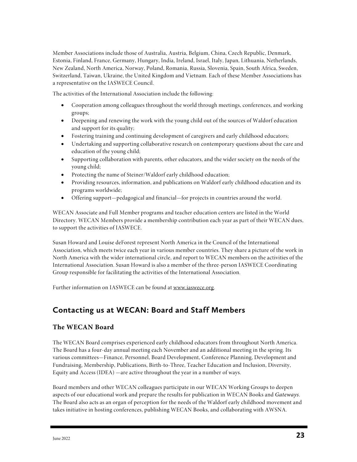Member Associations include those of Australia, Austria, Belgium, China, Czech Republic, Denmark, Estonia, Finland, France, Germany, Hungary, India, Ireland, Israel, Italy, Japan, Lithuania, Netherlands, New Zealand, North America, Norway, Poland, Romania, Russia, Slovenia, Spain, South Africa, Sweden, Switzerland, Taiwan, Ukraine, the United Kingdom and Vietnam. Each of these Member Associations has a representative on the IASWECE Council.

The activities of the International Association include the following:

- Cooperation among colleagues throughout the world through meetings, conferences, and working groups;
- Deepening and renewing the work with the young child out of the sources of Waldorf education and support for its quality;
- Fostering training and continuing development of caregivers and early childhood educators;
- Undertaking and supporting collaborative research on contemporary questions about the care and education of the young child;
- Supporting collaboration with parents, other educators, and the wider society on the needs of the young child;
- Protecting the name of Steiner/Waldorf early childhood education;
- Providing resources, information, and publications on Waldorf early childhood education and its programs worldwide;
- Offering support—pedagogical and financial—for projects in countries around the world.

WECAN Associate and Full Member programs and teacher education centers are listed in the World Directory. WECAN Members provide a membership contribution each year as part of their WECAN dues, to support the activities of IASWECE.

Susan Howard and Louise deForest represent North America in the Council of the International Association, which meets twice each year in various member countries. They share a picture of the work in North America with the wider international circle, and report to WECAN members on the activities of the International Association. Susan Howard is also a member of the three-person IASWECE Coordinating Group responsible for facilitating the activities of the International Association.

Further information on IASWECE can be found at www.iaswece.org.

# **Contacting us at WECAN: Board and Staff Members**

#### **The WECAN Board**

The WECAN Board comprises experienced early childhood educators from throughout North America. The Board has a four-day annual meeting each November and an additional meeting in the spring. Its various committees—Finance, Personnel, Board Development, Conference Planning, Development and Fundraising, Membership, Publications, Birth-to-Three, Teacher Education and Inclusion, Diversity, Equity and Access (IDEA) —are active throughout the year in a number of ways.

Board members and other WECAN colleagues participate in our WECAN Working Groups to deepen aspects of our educational work and prepare the results for publication in WECAN Books and *Gateways*. The Board also acts as an organ of perception for the needs of the Waldorf early childhood movement and takes initiative in hosting conferences, publishing WECAN Books, and collaborating with AWSNA.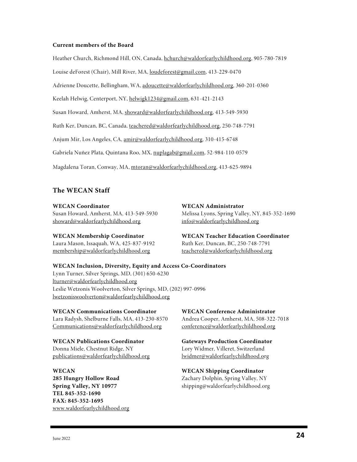#### **Current members of the Board**

Heather Church, Richmond Hill, ON, Canada, hchurch@waldorfearlychildhood.org, 905-780-7819

Louise deForest (Chair), Mill River, MA, loudeforest@gmail.com, 413-229-0470

Adrienne Doucette, Bellingham, WA, adoucette@waldorfearlychildhood.org, 360-201-0360

Keelah Helwig, Centerport, NY, helwigk1234@gmail.com, 631-421-2143

Susan Howard, Amherst, MA, showard@waldorfearlychildhood.org, 413-549-5930

Ruth Ker, Duncan, BC, Canada, teachered@waldorfearlychildhood.org, 250-748-7791

Anjum Mir, Los Angeles, CA, amir@waldorfearlychildhood.org, 310-415-6748

Gabriela Nuñez Plata, Quintana Roo, MX, nuplagab@gmail.com, 52-984-110-0579

Magdalena Toran, Conway, MA, mtoran@waldorfearlychildhood.org, 413-625-9894

#### **The WECAN Staff**

#### **WECAN Coordinator**

Susan Howard, Amherst, MA, 413-549-5930 showard@waldorfearlychildhood.org

#### **WECAN Membership Coordinator**

Laura Mason, Issaquah, WA, 425-837-9192 membership@waldorfearlychildhood.org

**WECAN Administrator**  Melissa Lyons, Spring Valley, NY, 845-352-1690 info@waldorfearlychildhood.org

**WECAN Teacher Education Coordinator** Ruth Ker, Duncan, BC, 250-748-7791 teachered@waldorfearlychildhood.org

#### **WECAN Inclusion, Diversity, Equity and Access Co-Coordinators**

Lynn Turner, Silver Springs, MD, (301) 650-6230 lturner@waldorfearlychildhood.org Leslie Wetzonis Woolverton, Silver Springs, MD, (202) 997-0996 lwetzoniswoolverton@waldorfearlychildhood.org

**WECAN Communications Coordinator** Lara Radysh, Shelburne Falls, MA, 413-230-8570 Communications@waldorfearlychildhood.org

### **WECAN Publications Coordinator**

Donna Miele, Chestnut Ridge, NY publications@waldorfearlychildhood.org

# **WECAN**

**285 Hungry Hollow Road Spring Valley, NY 10977 TEL 845-352-1690 FAX: 845-352-1695** www.waldorfearlychildhood.org

**WECAN Conference Administrator** Andrea Cooper, Amherst, MA, 508-322-7018 conference@waldorfearlychildhood.org

**Gateways Production Coordinator** Lory Widmer, Villeret, Switzerland lwidmer@waldorfearlychildhood.org

**WECAN Shipping Coordinator** Zachary Dolphin, Spring Valley, NY shipping@waldorfearlychildhood.org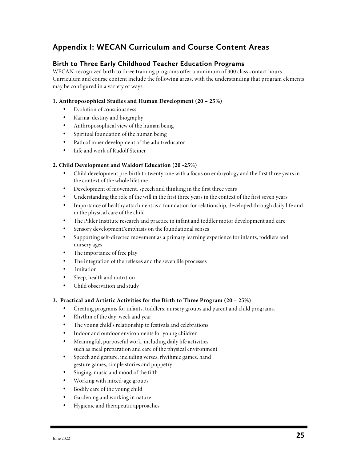# **Appendix I: WECAN Curriculum and Course Content Areas**

#### **Birth to Three Early Childhood Teacher Education Programs**

WECAN-recognized birth to three training programs offer a minimum of 300 class contact hours. Curriculum and course content include the following areas, with the understanding that program elements may be configured in a variety of ways.

#### **1. Anthroposophical Studies and Human Development (20 – 25%)**

- Evolution of consciousness
- Karma, destiny and biography
- Anthroposophical view of the human being
- Spiritual foundation of the human being
- Path of inner development of the adult/educator
- Life and work of Rudolf Steiner

#### **2. Child Development and Waldorf Education (20 -25%)**

- Child development pre-birth to twenty-one with a focus on embryology and the first three years in the context of the whole lifetime
- Development of movement, speech and thinking in the first three years
- Understanding the role of the will in the first three years in the context of the first seven years
- Importance of healthy attachment as a foundation for relationship, developed through daily life and in the physical care of the child
- The Pikler Institute research and practice in infant and toddler motor development and care
- Sensory development/emphasis on the foundational senses
- Supporting self-directed movement as a primary learning experience for infants, toddlers and nursery ages
- The importance of free play
- The integration of the reflexes and the seven life processes
- Imitation
- Sleep, health and nutrition
- Child observation and study

#### **3. Practical and Artistic Activities for the Birth to Three Program (20 – 25%)**

- Creating programs for infants, toddlers, nursery groups and parent and child programs.
- Rhythm of the day, week and year
- The young child's relationship to festivals and celebrations
- Indoor and outdoor environments for young children
- Meaningful, purposeful work, including daily life activities such as meal preparation and care of the physical environment
- Speech and gesture, including verses, rhythmic games, hand gesture games, simple stories and puppetry
- Singing, music and mood of the fifth
- Working with mixed-age groups
- Bodily care of the young child
- Gardening and working in nature
- Hygienic and therapeutic approaches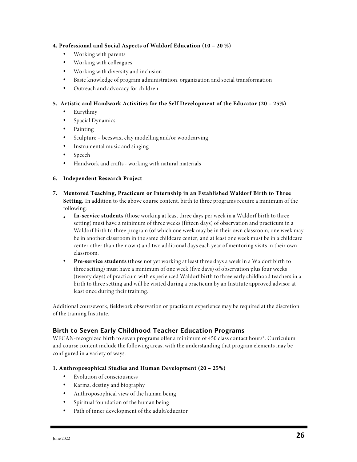#### **4. Professional and Social Aspects of Waldorf Education (10 – 20 %)**

- Working with parents
- Working with colleagues
- Working with diversity and inclusion
- Basic knowledge of program administration, organization and social transformation
- Outreach and advocacy for children

#### **5. Artistic and Handwork Activities for the Self Development of the Educator (20 – 25%)**

- Eurythmy
- Spacial Dynamics
- Painting
- Sculpture beeswax, clay modelling and/or woodcarving
- Instrumental music and singing
- Speech
- Handwork and crafts working with natural materials

#### **6. Independent Research Project**

- **7. Mentored Teaching, Practicum or Internship in an Established Waldorf Birth to Three Setting.** In addition to the above course content, birth to three programs require a minimum of the following:
	- **In-service students** (those working at least three days per week in a Waldorf birth to three setting) must have a minimum of three weeks (fifteen days) of observation and practicum in a Waldorf birth to three program (of which one week may be in their own classroom, one week may be in another classroom in the same childcare center, and at least one week must be in a childcare center other than their own) and two additional days each year of mentoring visits in their own classroom.
	- **Pre-service students** (those not yet working at least three days a week in a Waldorf birth to three setting) must have a minimum of one week (five days) of observation plus four weeks (twenty days) of practicum with experienced Waldorf birth to three early childhood teachers in a birth to three setting and will be visited during a practicum by an Institute approved advisor at least once during their training.

Additional coursework, fieldwork observation or practicum experience may be required at the discretion of the training Institute.

#### **Birth to Seven Early Childhood Teacher Education Programs**

WECAN-recognized birth to seven programs offer a minimum of 450 class contact hours\*. Curriculum and course content include the following areas, with the understanding that program elements may be configured in a variety of ways.

#### **1. Anthroposophical Studies and Human Development (20 – 25%)**

- Evolution of consciousness
- Karma, destiny and biography
- Anthroposophical view of the human being
- Spiritual foundation of the human being
- Path of inner development of the adult/educator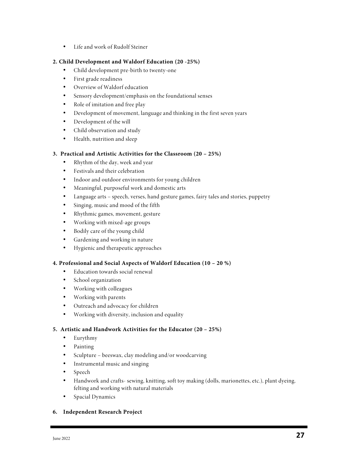• Life and work of Rudolf Steiner

#### **2. Child Development and Waldorf Education (20 -25%)**

- Child development pre-birth to twenty-one
- First grade readiness
- Overview of Waldorf education
- Sensory development/emphasis on the foundational senses
- Role of imitation and free play
- Development of movement, language and thinking in the first seven years
- Development of the will
- Child observation and study
- Health, nutrition and sleep

#### **3. Practical and Artistic Activities for the Classroom (20 – 25%)**

- Rhythm of the day, week and year
- Festivals and their celebration
- Indoor and outdoor environments for young children
- Meaningful, purposeful work and domestic arts
- Language arts speech, verses, hand gesture games, fairy tales and stories, puppetry
- Singing, music and mood of the fifth
- Rhythmic games, movement, gesture
- Working with mixed-age groups
- Bodily care of the young child
- Gardening and working in nature
- Hygienic and therapeutic approaches

#### **4. Professional and Social Aspects of Waldorf Education (10 – 20 %)**

- Education towards social renewal
- School organization
- Working with colleagues
- Working with parents
- Outreach and advocacy for children
- Working with diversity, inclusion and equality

#### **5. Artistic and Handwork Activities for the Educator (20 – 25%)**

- Eurythmy
- Painting
- Sculpture beeswax, clay modeling and/or woodcarving
- Instrumental music and singing
- Speech
- Handwork and crafts- sewing, knitting, soft toy making (dolls, marionettes, etc.), plant dyeing, felting and working with natural materials
- Spacial Dynamics

#### **6. Independent Research Project**